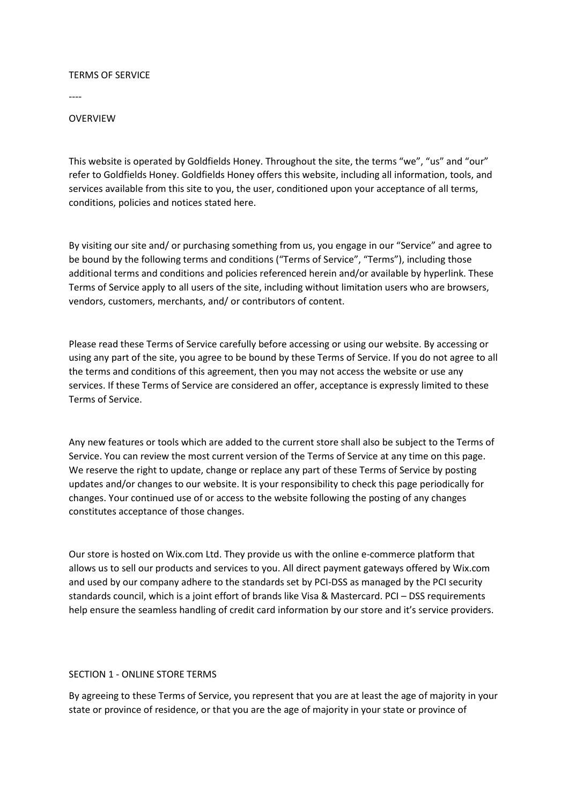#### TERMS OF SERVICE

----

#### OVERVIEW

This website is operated by Goldfields Honey. Throughout the site, the terms "we", "us" and "our" refer to Goldfields Honey. Goldfields Honey offers this website, including all information, tools, and services available from this site to you, the user, conditioned upon your acceptance of all terms, conditions, policies and notices stated here.

By visiting our site and/ or purchasing something from us, you engage in our "Service" and agree to be bound by the following terms and conditions ("Terms of Service", "Terms"), including those additional terms and conditions and policies referenced herein and/or available by hyperlink. These Terms of Service apply to all users of the site, including without limitation users who are browsers, vendors, customers, merchants, and/ or contributors of content.

Please read these Terms of Service carefully before accessing or using our website. By accessing or using any part of the site, you agree to be bound by these Terms of Service. If you do not agree to all the terms and conditions of this agreement, then you may not access the website or use any services. If these Terms of Service are considered an offer, acceptance is expressly limited to these Terms of Service.

Any new features or tools which are added to the current store shall also be subject to the Terms of Service. You can review the most current version of the Terms of Service at any time on this page. We reserve the right to update, change or replace any part of these Terms of Service by posting updates and/or changes to our website. It is your responsibility to check this page periodically for changes. Your continued use of or access to the website following the posting of any changes constitutes acceptance of those changes.

Our store is hosted on Wix.com Ltd. They provide us with the online e-commerce platform that allows us to sell our products and services to you. All direct payment gateways offered by Wix.com and used by our company adhere to the standards set by PCI-DSS as managed by the PCI security standards council, which is a joint effort of brands like Visa & Mastercard. PCI – DSS requirements help ensure the seamless handling of credit card information by our store and it's service providers.

#### SECTION 1 - ONLINE STORE TERMS

By agreeing to these Terms of Service, you represent that you are at least the age of majority in your state or province of residence, or that you are the age of majority in your state or province of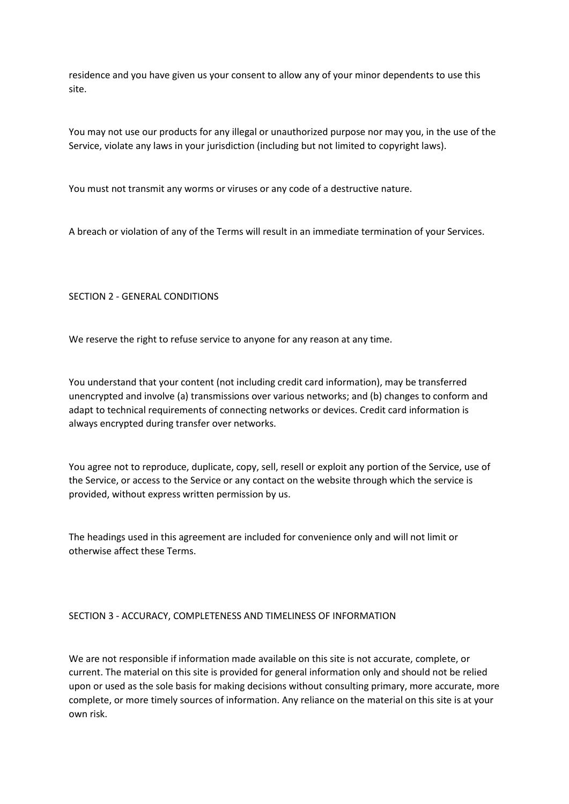residence and you have given us your consent to allow any of your minor dependents to use this site.

You may not use our products for any illegal or unauthorized purpose nor may you, in the use of the Service, violate any laws in your jurisdiction (including but not limited to copyright laws).

You must not transmit any worms or viruses or any code of a destructive nature.

A breach or violation of any of the Terms will result in an immediate termination of your Services.

SECTION 2 - GENERAL CONDITIONS

We reserve the right to refuse service to anyone for any reason at any time.

You understand that your content (not including credit card information), may be transferred unencrypted and involve (a) transmissions over various networks; and (b) changes to conform and adapt to technical requirements of connecting networks or devices. Credit card information is always encrypted during transfer over networks.

You agree not to reproduce, duplicate, copy, sell, resell or exploit any portion of the Service, use of the Service, or access to the Service or any contact on the website through which the service is provided, without express written permission by us.

The headings used in this agreement are included for convenience only and will not limit or otherwise affect these Terms.

# SECTION 3 - ACCURACY, COMPLETENESS AND TIMELINESS OF INFORMATION

We are not responsible if information made available on this site is not accurate, complete, or current. The material on this site is provided for general information only and should not be relied upon or used as the sole basis for making decisions without consulting primary, more accurate, more complete, or more timely sources of information. Any reliance on the material on this site is at your own risk.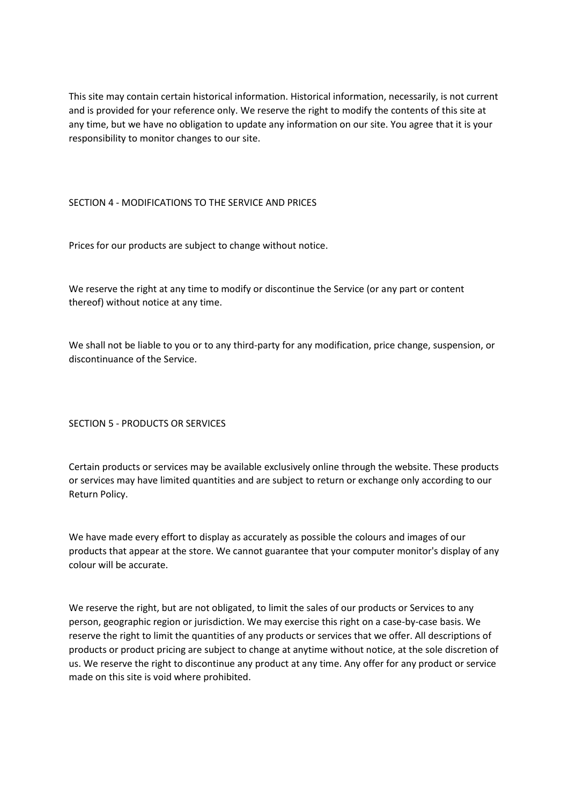This site may contain certain historical information. Historical information, necessarily, is not current and is provided for your reference only. We reserve the right to modify the contents of this site at any time, but we have no obligation to update any information on our site. You agree that it is your responsibility to monitor changes to our site.

# SECTION 4 - MODIFICATIONS TO THE SERVICE AND PRICES

Prices for our products are subject to change without notice.

We reserve the right at any time to modify or discontinue the Service (or any part or content thereof) without notice at any time.

We shall not be liable to you or to any third-party for any modification, price change, suspension, or discontinuance of the Service.

#### SECTION 5 - PRODUCTS OR SERVICES

Certain products or services may be available exclusively online through the website. These products or services may have limited quantities and are subject to return or exchange only according to our Return Policy.

We have made every effort to display as accurately as possible the colours and images of our products that appear at the store. We cannot guarantee that your computer monitor's display of any colour will be accurate.

We reserve the right, but are not obligated, to limit the sales of our products or Services to any person, geographic region or jurisdiction. We may exercise this right on a case-by-case basis. We reserve the right to limit the quantities of any products or services that we offer. All descriptions of products or product pricing are subject to change at anytime without notice, at the sole discretion of us. We reserve the right to discontinue any product at any time. Any offer for any product or service made on this site is void where prohibited.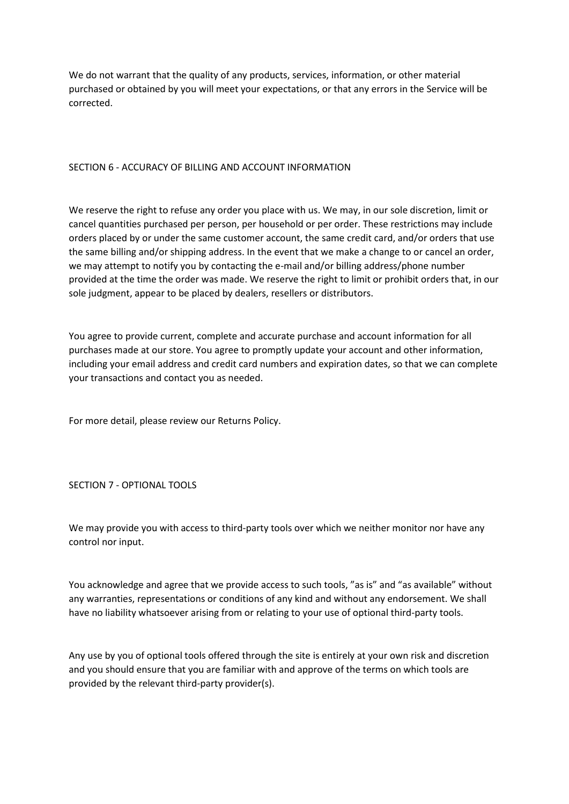We do not warrant that the quality of any products, services, information, or other material purchased or obtained by you will meet your expectations, or that any errors in the Service will be corrected.

# SECTION 6 - ACCURACY OF BILLING AND ACCOUNT INFORMATION

We reserve the right to refuse any order you place with us. We may, in our sole discretion, limit or cancel quantities purchased per person, per household or per order. These restrictions may include orders placed by or under the same customer account, the same credit card, and/or orders that use the same billing and/or shipping address. In the event that we make a change to or cancel an order, we may attempt to notify you by contacting the e-mail and/or billing address/phone number provided at the time the order was made. We reserve the right to limit or prohibit orders that, in our sole judgment, appear to be placed by dealers, resellers or distributors.

You agree to provide current, complete and accurate purchase and account information for all purchases made at our store. You agree to promptly update your account and other information, including your email address and credit card numbers and expiration dates, so that we can complete your transactions and contact you as needed.

For more detail, please review our Returns Policy.

SECTION 7 - OPTIONAL TOOLS

We may provide you with access to third-party tools over which we neither monitor nor have any control nor input.

You acknowledge and agree that we provide access to such tools, "as is" and "as available" without any warranties, representations or conditions of any kind and without any endorsement. We shall have no liability whatsoever arising from or relating to your use of optional third-party tools.

Any use by you of optional tools offered through the site is entirely at your own risk and discretion and you should ensure that you are familiar with and approve of the terms on which tools are provided by the relevant third-party provider(s).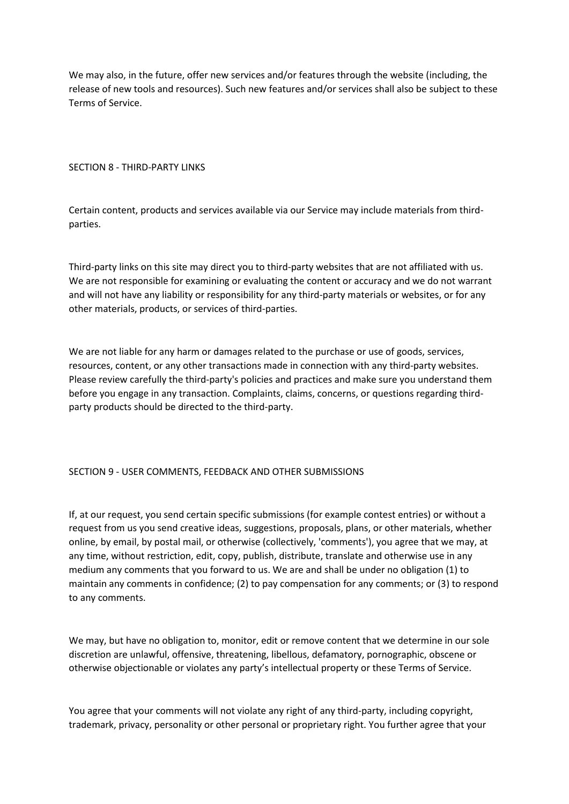We may also, in the future, offer new services and/or features through the website (including, the release of new tools and resources). Such new features and/or services shall also be subject to these Terms of Service.

#### SECTION 8 - THIRD-PARTY LINKS

Certain content, products and services available via our Service may include materials from thirdparties.

Third-party links on this site may direct you to third-party websites that are not affiliated with us. We are not responsible for examining or evaluating the content or accuracy and we do not warrant and will not have any liability or responsibility for any third-party materials or websites, or for any other materials, products, or services of third-parties.

We are not liable for any harm or damages related to the purchase or use of goods, services, resources, content, or any other transactions made in connection with any third-party websites. Please review carefully the third-party's policies and practices and make sure you understand them before you engage in any transaction. Complaints, claims, concerns, or questions regarding thirdparty products should be directed to the third-party.

# SECTION 9 - USER COMMENTS, FEEDBACK AND OTHER SUBMISSIONS

If, at our request, you send certain specific submissions (for example contest entries) or without a request from us you send creative ideas, suggestions, proposals, plans, or other materials, whether online, by email, by postal mail, or otherwise (collectively, 'comments'), you agree that we may, at any time, without restriction, edit, copy, publish, distribute, translate and otherwise use in any medium any comments that you forward to us. We are and shall be under no obligation (1) to maintain any comments in confidence; (2) to pay compensation for any comments; or (3) to respond to any comments.

We may, but have no obligation to, monitor, edit or remove content that we determine in our sole discretion are unlawful, offensive, threatening, libellous, defamatory, pornographic, obscene or otherwise objectionable or violates any party's intellectual property or these Terms of Service.

You agree that your comments will not violate any right of any third-party, including copyright, trademark, privacy, personality or other personal or proprietary right. You further agree that your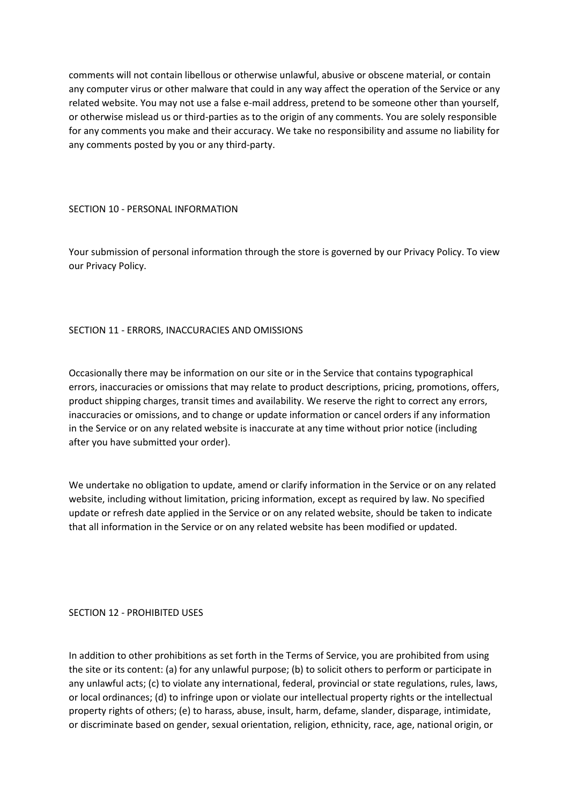comments will not contain libellous or otherwise unlawful, abusive or obscene material, or contain any computer virus or other malware that could in any way affect the operation of the Service or any related website. You may not use a false e-mail address, pretend to be someone other than yourself, or otherwise mislead us or third-parties as to the origin of any comments. You are solely responsible for any comments you make and their accuracy. We take no responsibility and assume no liability for any comments posted by you or any third-party.

# SECTION 10 - PERSONAL INFORMATION

Your submission of personal information through the store is governed by our Privacy Policy. To view our Privacy Policy.

#### SECTION 11 - ERRORS, INACCURACIES AND OMISSIONS

Occasionally there may be information on our site or in the Service that contains typographical errors, inaccuracies or omissions that may relate to product descriptions, pricing, promotions, offers, product shipping charges, transit times and availability. We reserve the right to correct any errors, inaccuracies or omissions, and to change or update information or cancel orders if any information in the Service or on any related website is inaccurate at any time without prior notice (including after you have submitted your order).

We undertake no obligation to update, amend or clarify information in the Service or on any related website, including without limitation, pricing information, except as required by law. No specified update or refresh date applied in the Service or on any related website, should be taken to indicate that all information in the Service or on any related website has been modified or updated.

# SECTION 12 - PROHIBITED USES

In addition to other prohibitions as set forth in the Terms of Service, you are prohibited from using the site or its content: (a) for any unlawful purpose; (b) to solicit others to perform or participate in any unlawful acts; (c) to violate any international, federal, provincial or state regulations, rules, laws, or local ordinances; (d) to infringe upon or violate our intellectual property rights or the intellectual property rights of others; (e) to harass, abuse, insult, harm, defame, slander, disparage, intimidate, or discriminate based on gender, sexual orientation, religion, ethnicity, race, age, national origin, or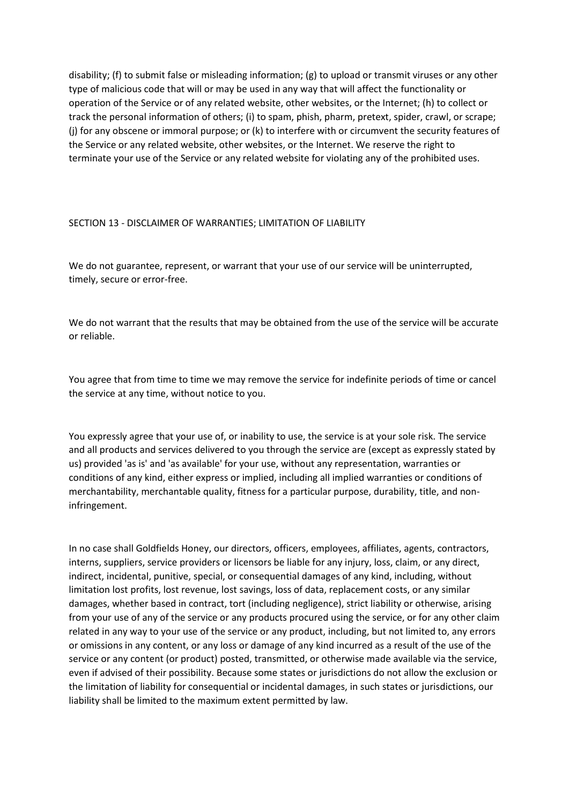disability; (f) to submit false or misleading information; (g) to upload or transmit viruses or any other type of malicious code that will or may be used in any way that will affect the functionality or operation of the Service or of any related website, other websites, or the Internet; (h) to collect or track the personal information of others; (i) to spam, phish, pharm, pretext, spider, crawl, or scrape; (j) for any obscene or immoral purpose; or (k) to interfere with or circumvent the security features of the Service or any related website, other websites, or the Internet. We reserve the right to terminate your use of the Service or any related website for violating any of the prohibited uses.

# SECTION 13 - DISCLAIMER OF WARRANTIES; LIMITATION OF LIABILITY

We do not guarantee, represent, or warrant that your use of our service will be uninterrupted, timely, secure or error-free.

We do not warrant that the results that may be obtained from the use of the service will be accurate or reliable.

You agree that from time to time we may remove the service for indefinite periods of time or cancel the service at any time, without notice to you.

You expressly agree that your use of, or inability to use, the service is at your sole risk. The service and all products and services delivered to you through the service are (except as expressly stated by us) provided 'as is' and 'as available' for your use, without any representation, warranties or conditions of any kind, either express or implied, including all implied warranties or conditions of merchantability, merchantable quality, fitness for a particular purpose, durability, title, and noninfringement.

In no case shall Goldfields Honey, our directors, officers, employees, affiliates, agents, contractors, interns, suppliers, service providers or licensors be liable for any injury, loss, claim, or any direct, indirect, incidental, punitive, special, or consequential damages of any kind, including, without limitation lost profits, lost revenue, lost savings, loss of data, replacement costs, or any similar damages, whether based in contract, tort (including negligence), strict liability or otherwise, arising from your use of any of the service or any products procured using the service, or for any other claim related in any way to your use of the service or any product, including, but not limited to, any errors or omissions in any content, or any loss or damage of any kind incurred as a result of the use of the service or any content (or product) posted, transmitted, or otherwise made available via the service, even if advised of their possibility. Because some states or jurisdictions do not allow the exclusion or the limitation of liability for consequential or incidental damages, in such states or jurisdictions, our liability shall be limited to the maximum extent permitted by law.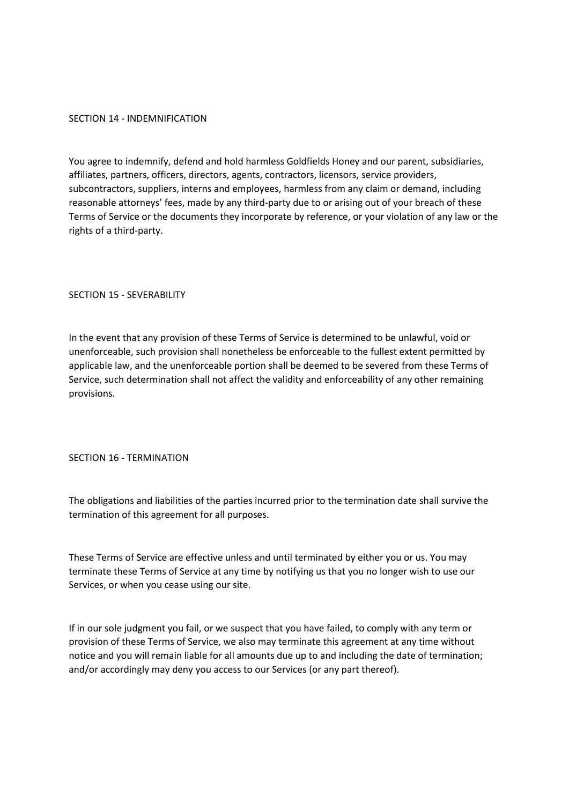SECTION 14 - INDEMNIFICATION

You agree to indemnify, defend and hold harmless Goldfields Honey and our parent, subsidiaries, affiliates, partners, officers, directors, agents, contractors, licensors, service providers, subcontractors, suppliers, interns and employees, harmless from any claim or demand, including reasonable attorneys' fees, made by any third-party due to or arising out of your breach of these Terms of Service or the documents they incorporate by reference, or your violation of any law or the rights of a third-party.

SECTION 15 - SEVERABILITY

In the event that any provision of these Terms of Service is determined to be unlawful, void or unenforceable, such provision shall nonetheless be enforceable to the fullest extent permitted by applicable law, and the unenforceable portion shall be deemed to be severed from these Terms of Service, such determination shall not affect the validity and enforceability of any other remaining provisions.

# SECTION 16 - TERMINATION

The obligations and liabilities of the parties incurred prior to the termination date shall survive the termination of this agreement for all purposes.

These Terms of Service are effective unless and until terminated by either you or us. You may terminate these Terms of Service at any time by notifying us that you no longer wish to use our Services, or when you cease using our site.

If in our sole judgment you fail, or we suspect that you have failed, to comply with any term or provision of these Terms of Service, we also may terminate this agreement at any time without notice and you will remain liable for all amounts due up to and including the date of termination; and/or accordingly may deny you access to our Services (or any part thereof).